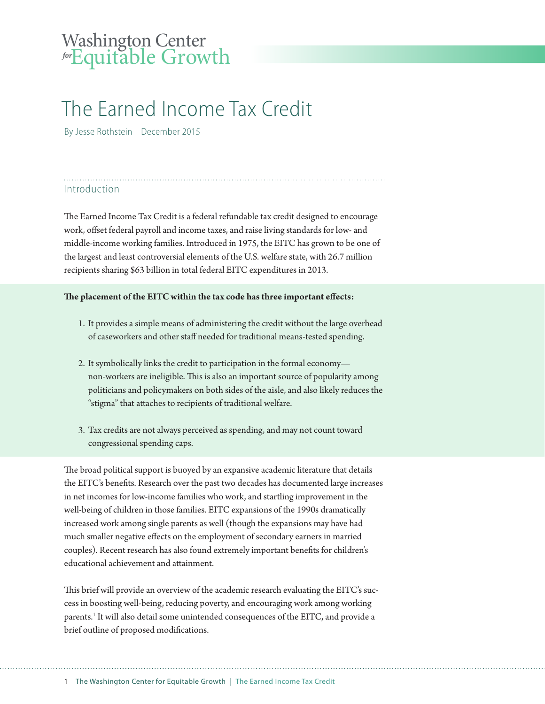# Washington Center *for* Equitable Growth

# The Earned Income Tax Credit

By Jesse Rothstein December 2015

### Introduction

The Earned Income Tax Credit is a federal refundable tax credit designed to encourage work, offset federal payroll and income taxes, and raise living standards for low- and middle-income working families. Introduced in 1975, the EITC has grown to be one of the largest and least controversial elements of the U.S. welfare state, with 26.7 million recipients sharing \$63 billion in total federal EITC expenditures in 2013.

#### **The placement of the EITC within the tax code has three important effects:**

- 1. It provides a simple means of administering the credit without the large overhead of caseworkers and other staff needed for traditional means-tested spending.
- 2. It symbolically links the credit to participation in the formal economy non-workers are ineligible. This is also an important source of popularity among politicians and policymakers on both sides of the aisle, and also likely reduces the "stigma" that attaches to recipients of traditional welfare.
- 3. Tax credits are not always perceived as spending, and may not count toward congressional spending caps.

The broad political support is buoyed by an expansive academic literature that details the EITC's benefits. Research over the past two decades has documented large increases in net incomes for low-income families who work, and startling improvement in the well-being of children in those families. EITC expansions of the 1990s dramatically increased work among single parents as well (though the expansions may have had much smaller negative effects on the employment of secondary earners in married couples). Recent research has also found extremely important benefits for children's educational achievement and attainment.

This brief will provide an overview of the academic research evaluating the EITC's success in boosting well-being, reducing poverty, and encouraging work among working parents.<sup>1</sup> It will also detail some unintended consequences of the EITC, and provide a brief outline of proposed modifications.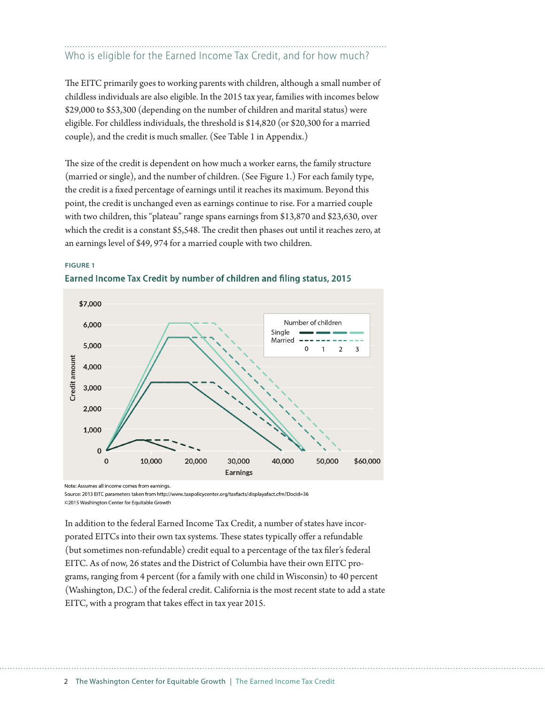## Who is eligible for the Earned Income Tax Credit, and for how much?

The EITC primarily goes to working parents with children, although a small number of childless individuals are also eligible. In the 2015 tax year, families with incomes below \$29,000 to \$53,300 (depending on the number of children and marital status) were eligible. For childless individuals, the threshold is \$14,820 (or \$20,300 for a married couple), and the credit is much smaller. (See Table 1 in Appendix.)

The size of the credit is dependent on how much a worker earns, the family structure (married or single), and the number of children. (See Figure 1.) For each family type, the credit is a fixed percentage of earnings until it reaches its maximum. Beyond this point, the credit is unchanged even as earnings continue to rise. For a married couple with two children, this "plateau" range spans earnings from \$13,870 and \$23,630, over which the credit is a constant \$5,548. The credit then phases out until it reaches zero, at an earnings level of \$49, 974 for a married couple with two children.

#### **FIGURE 1**





Note: Assumes all income comes from earnings.

Source: 2013 EITC parameters taken from http://www.taxpolicycenter.org/taxfacts/displayafact.cfm?Docid=36 ©2015 Washington Center for Equitable Growth

In addition to the federal Earned Income Tax Credit, a number of states have incorporated EITCs into their own tax systems. These states typically offer a refundable (but sometimes non-refundable) credit equal to a percentage of the tax filer's federal EITC. As of now, 26 states and the District of Columbia have their own EITC programs, ranging from 4 percent (for a family with one child in Wisconsin) to 40 percent (Washington, D.C.) of the federal credit. California is the most recent state to add a state EITC, with a program that takes effect in tax year 2015.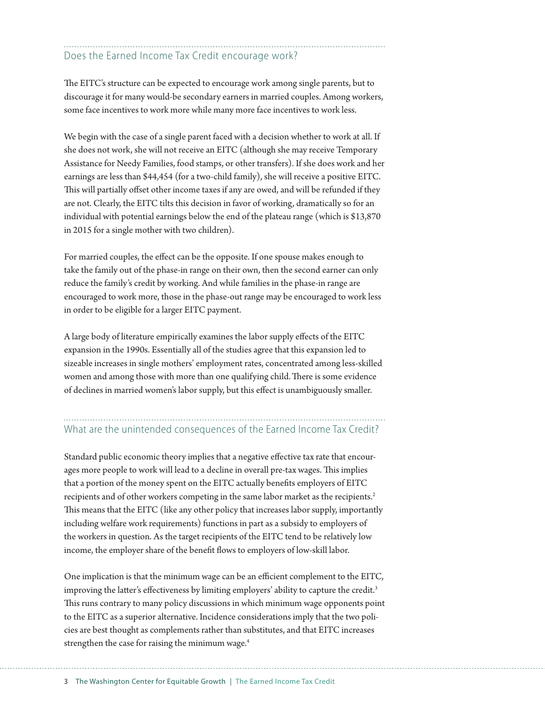### Does the Earned Income Tax Credit encourage work?

The EITC's structure can be expected to encourage work among single parents, but to discourage it for many would-be secondary earners in married couples. Among workers, some face incentives to work more while many more face incentives to work less.

We begin with the case of a single parent faced with a decision whether to work at all. If she does not work, she will not receive an EITC (although she may receive Temporary Assistance for Needy Families, food stamps, or other transfers). If she does work and her earnings are less than \$44,454 (for a two-child family), she will receive a positive EITC. This will partially offset other income taxes if any are owed, and will be refunded if they are not. Clearly, the EITC tilts this decision in favor of working, dramatically so for an individual with potential earnings below the end of the plateau range (which is \$13,870 in 2015 for a single mother with two children).

For married couples, the effect can be the opposite. If one spouse makes enough to take the family out of the phase-in range on their own, then the second earner can only reduce the family's credit by working. And while families in the phase-in range are encouraged to work more, those in the phase-out range may be encouraged to work less in order to be eligible for a larger EITC payment.

A large body of literature empirically examines the labor supply effects of the EITC expansion in the 1990s. Essentially all of the studies agree that this expansion led to sizeable increases in single mothers' employment rates, concentrated among less-skilled women and among those with more than one qualifying child.There is some evidence of declines in married women's labor supply, but this effect is unambiguously smaller.

# What are the unintended consequences of the Earned Income Tax Credit?

Standard public economic theory implies that a negative effective tax rate that encourages more people to work will lead to a decline in overall pre-tax wages. This implies that a portion of the money spent on the EITC actually benefits employers of EITC recipients and of other workers competing in the same labor market as the recipients.<sup>2</sup> This means that the EITC (like any other policy that increases labor supply, importantly including welfare work requirements) functions in part as a subsidy to employers of the workers in question. As the target recipients of the EITC tend to be relatively low income, the employer share of the benefit flows to employers of low-skill labor.

One implication is that the minimum wage can be an efficient complement to the EITC, improving the latter's effectiveness by limiting employers' ability to capture the credit.<sup>3</sup> This runs contrary to many policy discussions in which minimum wage opponents point to the EITC as a superior alternative. Incidence considerations imply that the two policies are best thought as complements rather than substitutes, and that EITC increases strengthen the case for raising the minimum wage.<sup>4</sup>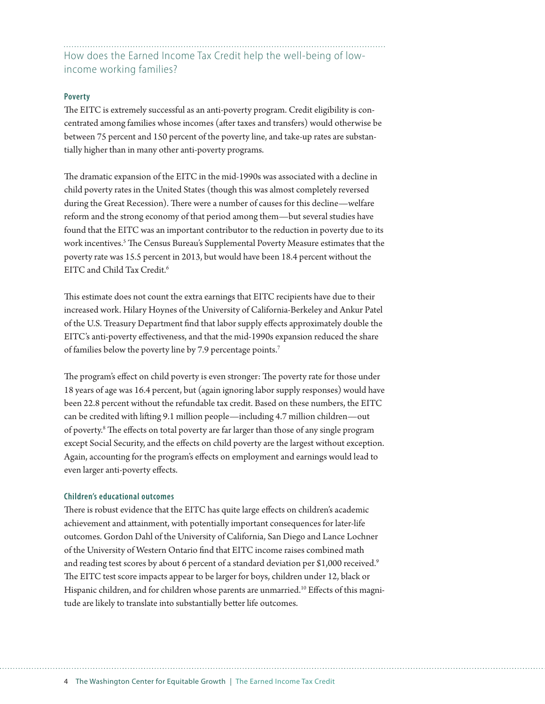How does the Earned Income Tax Credit help the well-being of lowincome working families?

#### **Poverty**

The EITC is extremely successful as an anti-poverty program. Credit eligibility is concentrated among families whose incomes (after taxes and transfers) would otherwise be between 75 percent and 150 percent of the poverty line, and take-up rates are substantially higher than in many other anti-poverty programs.

The dramatic expansion of the EITC in the mid-1990s was associated with a decline in child poverty rates in the United States (though this was almost completely reversed during the Great Recession). There were a number of causes for this decline—welfare reform and the strong economy of that period among them—but several studies have found that the EITC was an important contributor to the reduction in poverty due to its work incentives.5 The Census Bureau's Supplemental Poverty Measure estimates that the poverty rate was 15.5 percent in 2013, but would have been 18.4 percent without the EITC and Child Tax Credit.6

This estimate does not count the extra earnings that EITC recipients have due to their increased work. Hilary Hoynes of the University of California-Berkeley and Ankur Patel of the U.S. Treasury Department find that labor supply effects approximately double the EITC's anti-poverty effectiveness, and that the mid-1990s expansion reduced the share of families below the poverty line by 7.9 percentage points.7

The program's effect on child poverty is even stronger: The poverty rate for those under 18 years of age was 16.4 percent, but (again ignoring labor supply responses) would have been 22.8 percent without the refundable tax credit. Based on these numbers, the EITC can be credited with lifting 9.1 million people—including 4.7 million children—out of poverty.<sup>8</sup> The effects on total poverty are far larger than those of any single program except Social Security, and the effects on child poverty are the largest without exception. Again, accounting for the program's effects on employment and earnings would lead to even larger anti-poverty effects.

#### **Children's educational outcomes**

There is robust evidence that the EITC has quite large effects on children's academic achievement and attainment, with potentially important consequences for later-life outcomes. Gordon Dahl of the University of California, San Diego and Lance Lochner of the University of Western Ontario find that EITC income raises combined math and reading test scores by about 6 percent of a standard deviation per \$1,000 received.<sup>9</sup> The EITC test score impacts appear to be larger for boys, children under 12, black or Hispanic children, and for children whose parents are unmarried.<sup>10</sup> Effects of this magnitude are likely to translate into substantially better life outcomes.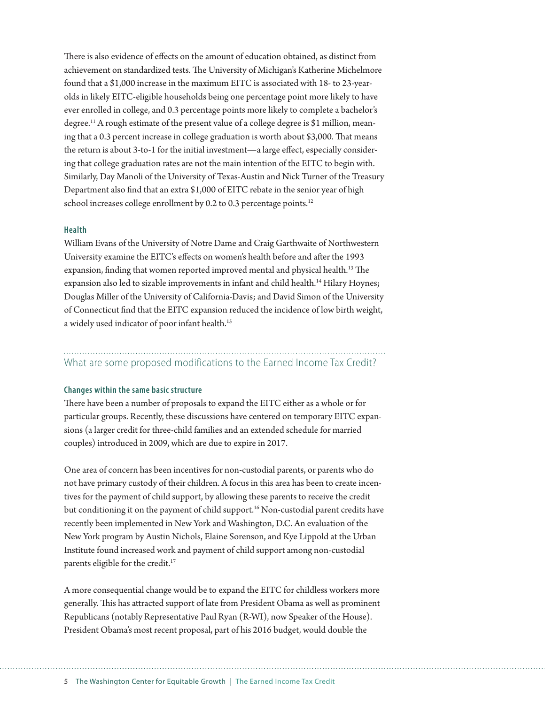There is also evidence of effects on the amount of education obtained, as distinct from achievement on standardized tests. The University of Michigan's Katherine Michelmore found that a \$1,000 increase in the maximum EITC is associated with 18- to 23-yearolds in likely EITC-eligible households being one percentage point more likely to have ever enrolled in college, and 0.3 percentage points more likely to complete a bachelor's degree.<sup>11</sup> A rough estimate of the present value of a college degree is \$1 million, meaning that a 0.3 percent increase in college graduation is worth about \$3,000. That means the return is about 3-to-1 for the initial investment—a large effect, especially considering that college graduation rates are not the main intention of the EITC to begin with. Similarly, Day Manoli of the University of Texas-Austin and Nick Turner of the Treasury Department also find that an extra \$1,000 of EITC rebate in the senior year of high school increases college enrollment by 0.2 to 0.3 percentage points.<sup>12</sup>

#### **Health**

William Evans of the University of Notre Dame and Craig Garthwaite of Northwestern University examine the EITC's effects on women's health before and after the 1993 expansion, finding that women reported improved mental and physical health.<sup>13</sup> The expansion also led to sizable improvements in infant and child health.<sup>14</sup> Hilary Hoynes; Douglas Miller of the University of California-Davis; and David Simon of the University of Connecticut find that the EITC expansion reduced the incidence of low birth weight, a widely used indicator of poor infant health.<sup>15</sup>

### What are some proposed modifications to the Earned Income Tax Credit?

#### **Changes within the same basic structure**

There have been a number of proposals to expand the EITC either as a whole or for particular groups. Recently, these discussions have centered on temporary EITC expansions (a larger credit for three-child families and an extended schedule for married couples) introduced in 2009, which are due to expire in 2017.

One area of concern has been incentives for non-custodial parents, or parents who do not have primary custody of their children. A focus in this area has been to create incentives for the payment of child support, by allowing these parents to receive the credit but conditioning it on the payment of child support.<sup>16</sup> Non-custodial parent credits have recently been implemented in New York and Washington, D.C. An evaluation of the New York program by Austin Nichols, Elaine Sorenson, and Kye Lippold at the Urban Institute found increased work and payment of child support among non-custodial parents eligible for the credit.<sup>17</sup>

A more consequential change would be to expand the EITC for childless workers more generally. This has attracted support of late from President Obama as well as prominent Republicans (notably Representative Paul Ryan (R-WI), now Speaker of the House). President Obama's most recent proposal, part of his 2016 budget, would double the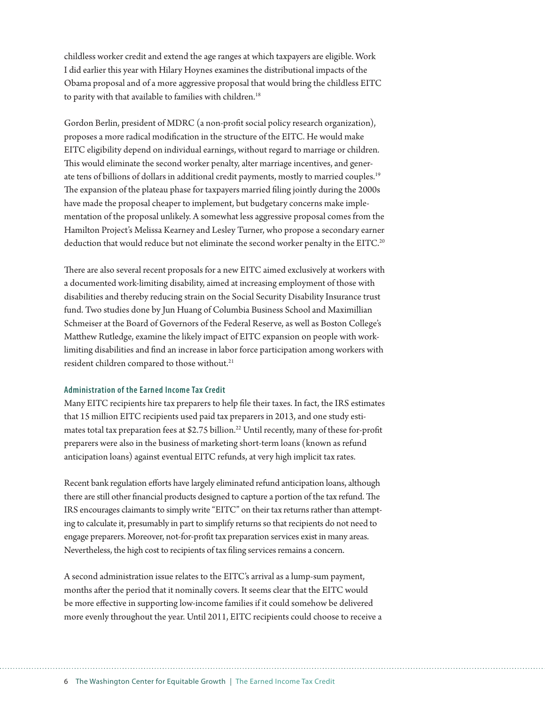childless worker credit and extend the age ranges at which taxpayers are eligible. Work I did earlier this year with Hilary Hoynes examines the distributional impacts of the Obama proposal and of a more aggressive proposal that would bring the childless EITC to parity with that available to families with children.<sup>18</sup>

Gordon Berlin, president of MDRC (a non-profit social policy research organization), proposes a more radical modification in the structure of the EITC. He would make EITC eligibility depend on individual earnings, without regard to marriage or children. This would eliminate the second worker penalty, alter marriage incentives, and generate tens of billions of dollars in additional credit payments, mostly to married couples.<sup>19</sup> The expansion of the plateau phase for taxpayers married filing jointly during the 2000s have made the proposal cheaper to implement, but budgetary concerns make implementation of the proposal unlikely. A somewhat less aggressive proposal comes from the Hamilton Project's Melissa Kearney and Lesley Turner, who propose a secondary earner deduction that would reduce but not eliminate the second worker penalty in the EITC.<sup>20</sup>

There are also several recent proposals for a new EITC aimed exclusively at workers with a documented work-limiting disability, aimed at increasing employment of those with disabilities and thereby reducing strain on the Social Security Disability Insurance trust fund. Two studies done by Jun Huang of Columbia Business School and Maximillian Schmeiser at the Board of Governors of the Federal Reserve, as well as Boston College's Matthew Rutledge, examine the likely impact of EITC expansion on people with worklimiting disabilities and find an increase in labor force participation among workers with resident children compared to those without.<sup>21</sup>

#### **Administration of the Earned Income Tax Credit**

Many EITC recipients hire tax preparers to help file their taxes. In fact, the IRS estimates that 15 million EITC recipients used paid tax preparers in 2013, and one study estimates total tax preparation fees at \$2.75 billion.<sup>22</sup> Until recently, many of these for-profit preparers were also in the business of marketing short-term loans (known as refund anticipation loans) against eventual EITC refunds, at very high implicit tax rates.

Recent bank regulation efforts have largely eliminated refund anticipation loans, although there are still other financial products designed to capture a portion of the tax refund. The IRS encourages claimants to simply write "EITC" on their tax returns rather than attempting to calculate it, presumably in part to simplify returns so that recipients do not need to engage preparers. Moreover, not-for-profit tax preparation services exist in many areas. Nevertheless, the high cost to recipients of tax filing services remains a concern.

A second administration issue relates to the EITC's arrival as a lump-sum payment, months after the period that it nominally covers. It seems clear that the EITC would be more effective in supporting low-income families if it could somehow be delivered more evenly throughout the year. Until 2011, EITC recipients could choose to receive a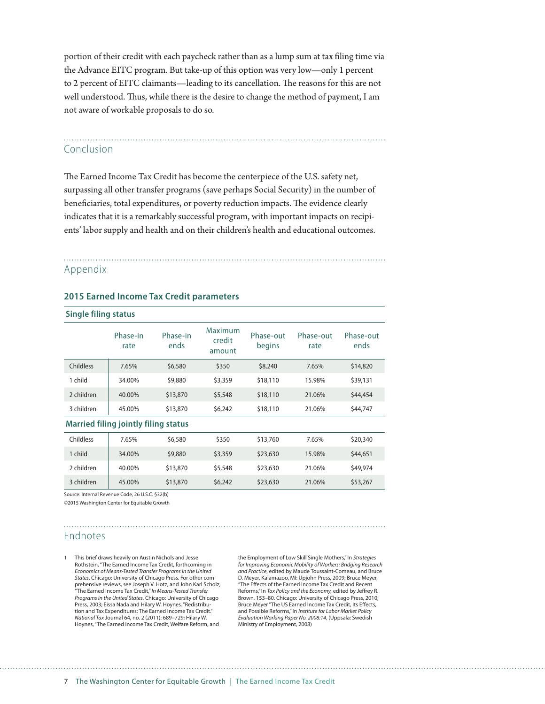portion of their credit with each paycheck rather than as a lump sum at tax filing time via the Advance EITC program. But take-up of this option was very low—only 1 percent to 2 percent of EITC claimants—leading to its cancellation. The reasons for this are not well understood. Thus, while there is the desire to change the method of payment, I am not aware of workable proposals to do so.

# Conclusion

The Earned Income Tax Credit has become the centerpiece of the U.S. safety net, surpassing all other transfer programs (save perhaps Social Security) in the number of beneficiaries, total expenditures, or poverty reduction impacts. The evidence clearly indicates that it is a remarkably successful program, with important impacts on recipients' labor supply and health and on their children's health and educational outcomes.

### Appendix

#### **2015 Earned Income Tax Credit parameters**

| <b>Single filing status</b>                 |                  |                  |                             |                     |                   |                   |
|---------------------------------------------|------------------|------------------|-----------------------------|---------------------|-------------------|-------------------|
|                                             | Phase-in<br>rate | Phase-in<br>ends | Maximum<br>credit<br>amount | Phase-out<br>begins | Phase-out<br>rate | Phase-out<br>ends |
| <b>Childless</b>                            | 7.65%            | \$6,580          | \$350                       | \$8,240             | 7.65%             | \$14,820          |
| 1 child                                     | 34.00%           | \$9,880          | \$3,359                     | \$18,110            | 15.98%            | \$39,131          |
| 2 children                                  | 40.00%           | \$13,870         | \$5,548                     | \$18,110            | 21.06%            | \$44,454          |
| 3 children                                  | 45.00%           | \$13,870         | \$6,242                     | \$18,110            | 21.06%            | \$44,747          |
| <b>Married filing jointly filing status</b> |                  |                  |                             |                     |                   |                   |
| Childless                                   | 7.65%            | \$6,580          | \$350                       | \$13,760            | 7.65%             | \$20,340          |
| 1 child                                     | 34.00%           | \$9,880          | \$3,359                     | \$23,630            | 15.98%            | \$44,651          |
| 2 children                                  | 40.00%           | \$13,870         | \$5,548                     | \$23,630            | 21.06%            | \$49,974          |
| 3 children                                  | 45.00%           | \$13,870         | \$6,242                     | \$23,630            | 21.06%            | \$53,267          |

Source: Internal Revenue Code, 26 U.S.C. §32(b)

©2015 Washington Center for Equitable Growth

### Endnotes

1 This brief draws heavily on Austin Nichols and Jesse Rothstein, "The Earned Income Tax Credit, forthcoming in *Economics of Means-Tested Transfer Programs in the United States*, Chicago: University of Chicago Press. For other comprehensive reviews, see Joseph V. Hotz, and John Karl Scholz, "The Earned Income Tax Credit," *In Means-Tested Transfer Programs in the United States*, Chicago: University of Chicago Press, 2003; Eissa Nada and Hilary W. Hoynes. "Redistribution and Tax Expenditures: The Earned Income Tax Credit." *National Tax* Journal 64, no. 2 (2011): 689–729; Hilary W. Hoynes, "The Earned Income Tax Credit, Welfare Reform, and

the Employment of Low Skill Single Mothers," In *Strategies for Improving Economic Mobility of Workers: Bridging Research and Practice*, edited by Maude Toussaint-Comeau, and Bruce D. Meyer, Kalamazoo, MI: Upjohn Press, 2009; Bruce Meyer, "The Effects of the Earned Income Tax Credit and Recent Reforms," In *Tax Policy and the Economy,* edited by Jeffrey R. Brown, 153–80. Chicago: University of Chicago Press, 2010; Bruce Meyer "The US Earned Income Tax Credit, Its Effects, and Possible Reforms," In *Institute for Labor Market Policy Evaluation Working Paper No. 2008:14*, (Uppsala: Swedish Ministry of Employment, 2008)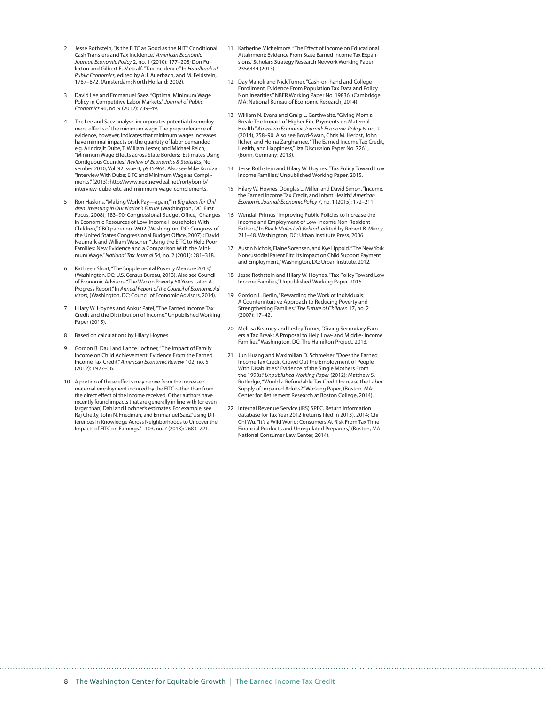- 2 Jesse Rothstein, "Is the EITC as Good as the NIT? Conditional Cash Transfers and Tax Incidence." *American Economic Journal: Economic Policy* 2, no. 1 (2010): 177–208; Don Fullerton and Gilbert E. Metcalf. "Tax Incidence," In *Handbook of Public Economics,* edited by A.J. Auerbach, and M. Feldstein, 1787–872. (Amsterdam: North Holland: 2002).
- 3 David Lee and Emmanuel Saez. "Optimal Minimum Wage Policy in Competitive Labor Markets." *Journal of Public Economics* 96, no. 9 (2012): 739–49.
- The Lee and Saez analysis incorporates potential disemployment effects of the minimum wage. The preponderance of evidence, however, indicates that minimum wages increases have minimal impacts on the quantity of labor demanded e.g. Arindrajit Dube, T. William Lester, and Michael Reich, "Minimum Wage Effects across State Borders: Estimates Using Contiguous Counties." *Review of Economics & Statistics*, November 2010, Vol. 92 Issue 4, p945-964. Also see Mike Konczal. "Interview With Dube; EITC and Minimum Wage as Compliments." (2013): http://www.nextnewdeal.net/rortybomb/ interview-dube-eitc-and-minimum-wage-complements.
- 5 Ron Haskins, "Making Work Pay—again," In *Big Ideas for Children: Investing in Our Nation's Future* (Washington, DC: First Focus, 2008), 183–90; Congressional Budget Office, "Changes in Economic Resources of Low-Income Households With Children," CBO paper no. 2602 (Washington, DC: Congress of the United States Congressional Budget Office, 2007) ; David Neumark and William Wascher. "Using the EITC to Help Poor Families: New Evidence and a Comparison With the Minimum Wage." *National Tax Journal* 54, no. 2 (2001): 281–318.
- 6 Kathleen Short, "The Supplemental Poverty Measure 2013," (Washington, DC: U.S. Census Bureau, 2013). Also see Council of Economic Advisors. "The War on Poverty 50 Years Later: A Progress Report," In *Annual Report of the Council of Economic Advisors*, (Washington, DC: Council of Economic Advisors, 2014).
- 7 Hilary W. Hoynes and Ankur Patel, "The Earned Income Tax Credit and the Distribution of Income." Unpublished Working Paper (2015).
- 8 Based on calculations by Hilary Hoynes
- 9 Gordon B. Daul and Lance Lochner, "The Impact of Family Income on Child Achievement: Evidence From the Earned Income Tax Credit." *American Economic Review* 102, no. 5 (2012): 1927–56.
- 10 A portion of these effects may derive from the increased maternal employment induced by the EITC rather than from the direct effect of the income received. Other authors have recently found impacts that are generally in line with (or even larger than) Dahl and Lochner's estimates. For example, see Raj Chetty, John N. Friedman, and Emmanuel Saez,"Using Differences in Knowledge Across Neighborhoods to Uncover the Impacts of EITC on Earnings." 103, no. 7 (2013): 2683–721.
- 11 Katherine Michelmore. "The Effect of Income on Educational Attainment: Evidence From State Earned Income Tax Expansions." Scholars Strategy Research Network Working Paper 2356444 (2013).
- 12 Day Manoli and Nick Turner. "Cash-on-hand and College Enrollment. Evidence From Population Tax Data and Policy Nonlinearities," NBER Working Paper No. 19836, (Cambridge, MA: National Bureau of Economic Research, 2014).
- 13 William N. Evans and Graig L. Garthwaite. "Giving Mom a Break: The Impact of Higher Eitc Payments on Maternal Health." *American Economic Journal: Economic Policy* 6, no. 2 (2014), 258–90. Also see Boyd-Swan, Chris M. Herbst, John Ifcher, and Homa Zarghamee. "The Earned Income Tax Credit, Health, and Happiness," Iza Discussion Paper No. 7261, (Bonn, Germany: 2013).
- 14 Jesse Rothstein and Hilary W. Hoynes. "Tax Policy Toward Low Income Families," Unpublished Working Paper, 2015.
- 15 Hilary W. Hoynes, Douglas L. Miller, and David Simon. "Income, the Earned Income Tax Credit, and Infant Health." *American Economic Journal: Economic Policy* 7, no. 1 (2015): 172–211.
- 16 Wendall Primus "Improving Public Policies to Increase the Income and Employment of Low-Income Non-Resident Fathers," In *Black Males Left Behind*, edited by Robert B. Mincy, 211–48. Washington, DC: Urban Institute Press, 2006.
- 17 Austin Nichols, Elaine Sorensen, and Kye Lippold. "The New York Noncustodial Parent Eitc: Its Impact on Child Support Payment and Employment.," Washington, DC: Urban Institute, 2012.
- 18 Jesse Rothstein and Hilary W. Hoynes. "Tax Policy Toward Low Income Families," Unpublished Working Paper, 2015
- 19 Gordon L. Berlin, "Rewarding the Work of Individuals: A Counterintuitive Approach to Reducing Poverty and Strengthening Families." *The Future of Children* 17, no. 2 (2007): 17–42.
- 20 Melissa Kearney and Lesley Turner, "Giving Secondary Earners a Tax Break: A Proposal to Help Low- and Middle- Income Families," Washington, DC: The Hamilton Project, 2013.
- 21 Jun Huang and Maximilian D. Schmeiser. "Does the Earned Income Tax Credit Crowd Out the Employment of People With Disabilities? Evidence of the Single Mothers From the 1990s." *Unpublished Working Paper* (2012); Matthew S. Rutledge, "Would a Refundable Tax Credit Increase the Labor Supply of Impaired Adults?" Working Paper, (Boston, MA: Center for Retirement Research at Boston College, 2014).
- 22 Internal Revenue Service (IRS) SPEC. Return information database for Tax Year 2012 (returns filed in 2013), 2014; Chi Chi Wu. "It's a Wild World: Consumers At Risk From Tax Time Financial Products and Unregulated Preparers," (Boston, MA: National Consumer Law Center, 2014).